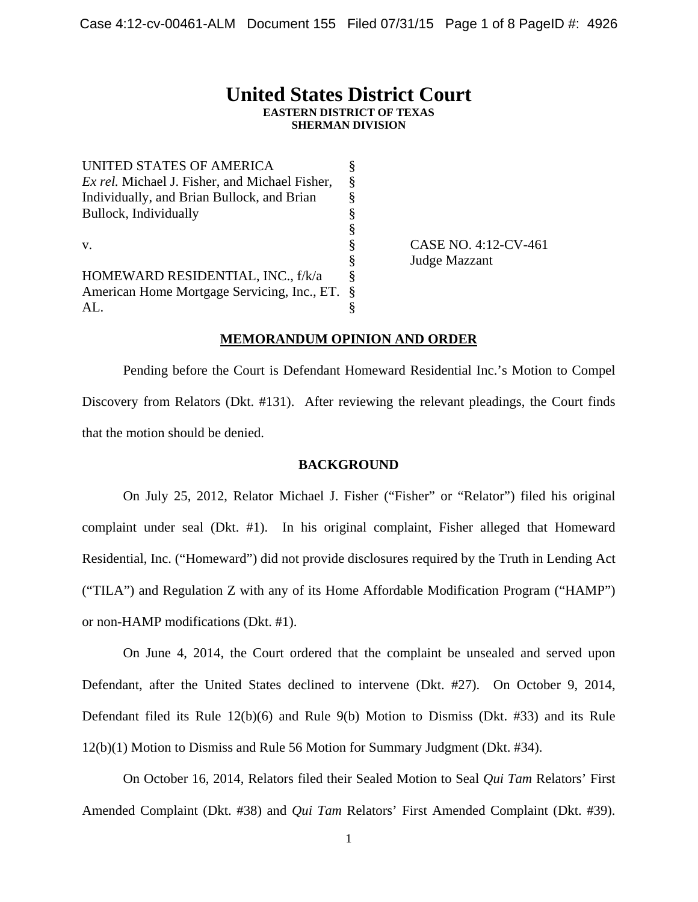# **United States District Court EASTERN DISTRICT OF TEXAS**

**SHERMAN DIVISION** 

| UNITED STATES OF AMERICA                              |   |
|-------------------------------------------------------|---|
| <i>Ex rel.</i> Michael J. Fisher, and Michael Fisher, | Ş |
| Individually, and Brian Bullock, and Brian            | § |
| Bullock, Individually                                 | § |
|                                                       | § |
| V.                                                    | § |
|                                                       | § |
| HOMEWARD RESIDENTIAL, INC., f/k/a                     | § |
| American Home Mortgage Servicing, Inc., ET.           | § |
| AL.                                                   |   |

CASE NO. 4:12-CV-461 Judge Mazzant

## **MEMORANDUM OPINION AND ORDER**

 Pending before the Court is Defendant Homeward Residential Inc.'s Motion to Compel Discovery from Relators (Dkt. #131). After reviewing the relevant pleadings, the Court finds that the motion should be denied.

## **BACKGROUND**

 On July 25, 2012, Relator Michael J. Fisher ("Fisher" or "Relator") filed his original complaint under seal (Dkt. #1). In his original complaint, Fisher alleged that Homeward Residential, Inc. ("Homeward") did not provide disclosures required by the Truth in Lending Act ("TILA") and Regulation Z with any of its Home Affordable Modification Program ("HAMP") or non-HAMP modifications (Dkt. #1).

On June 4, 2014, the Court ordered that the complaint be unsealed and served upon Defendant, after the United States declined to intervene (Dkt. #27). On October 9, 2014, Defendant filed its Rule 12(b)(6) and Rule 9(b) Motion to Dismiss (Dkt. #33) and its Rule 12(b)(1) Motion to Dismiss and Rule 56 Motion for Summary Judgment (Dkt. #34).

On October 16, 2014, Relators filed their Sealed Motion to Seal *Qui Tam* Relators' First Amended Complaint (Dkt. #38) and *Qui Tam* Relators' First Amended Complaint (Dkt. #39).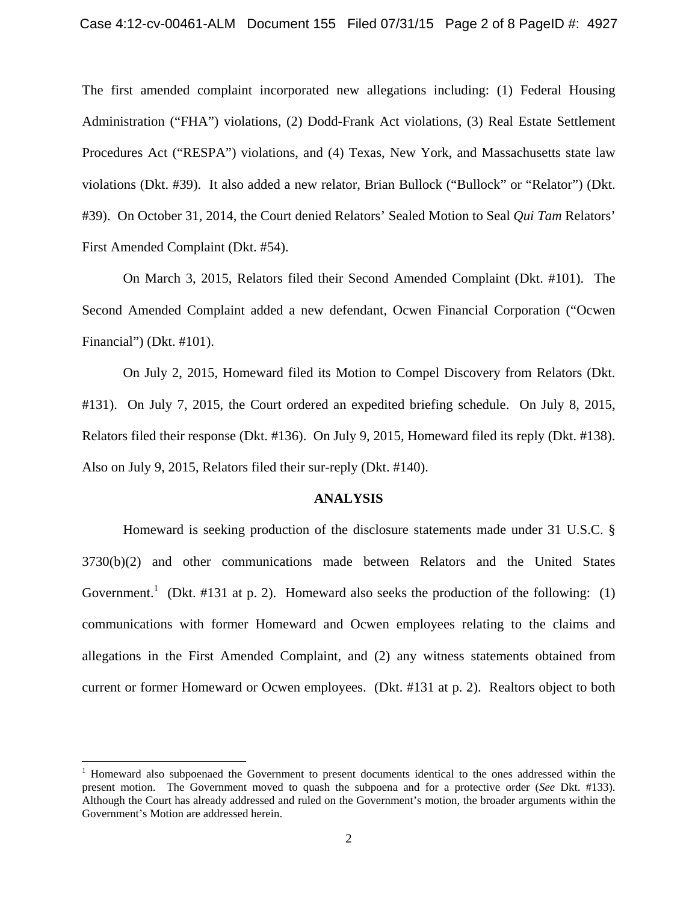The first amended complaint incorporated new allegations including: (1) Federal Housing Administration ("FHA") violations, (2) Dodd-Frank Act violations, (3) Real Estate Settlement Procedures Act ("RESPA") violations, and (4) Texas, New York, and Massachusetts state law violations (Dkt. #39). It also added a new relator, Brian Bullock ("Bullock" or "Relator") (Dkt. #39). On October 31, 2014, the Court denied Relators' Sealed Motion to Seal *Qui Tam* Relators' First Amended Complaint (Dkt. #54).

On March 3, 2015, Relators filed their Second Amended Complaint (Dkt. #101). The Second Amended Complaint added a new defendant, Ocwen Financial Corporation ("Ocwen Financial") (Dkt. #101).

On July 2, 2015, Homeward filed its Motion to Compel Discovery from Relators (Dkt. #131). On July 7, 2015, the Court ordered an expedited briefing schedule. On July 8, 2015, Relators filed their response (Dkt. #136). On July 9, 2015, Homeward filed its reply (Dkt. #138). Also on July 9, 2015, Relators filed their sur-reply (Dkt. #140).

### **ANALYSIS**

 Homeward is seeking production of the disclosure statements made under 31 U.S.C. § 3730(b)(2) and other communications made between Relators and the United States Government.<sup>1</sup> (Dkt. #131 at p. 2). Homeward also seeks the production of the following: (1) communications with former Homeward and Ocwen employees relating to the claims and allegations in the First Amended Complaint, and (2) any witness statements obtained from current or former Homeward or Ocwen employees. (Dkt. #131 at p. 2). Realtors object to both

<sup>&</sup>lt;sup>1</sup> Homeward also subpoenaed the Government to present documents identical to the ones addressed within the present motion. The Government moved to quash the subpoena and for a protective order (*See* Dkt. #133). Although the Court has already addressed and ruled on the Government's motion, the broader arguments within the Government's Motion are addressed herein.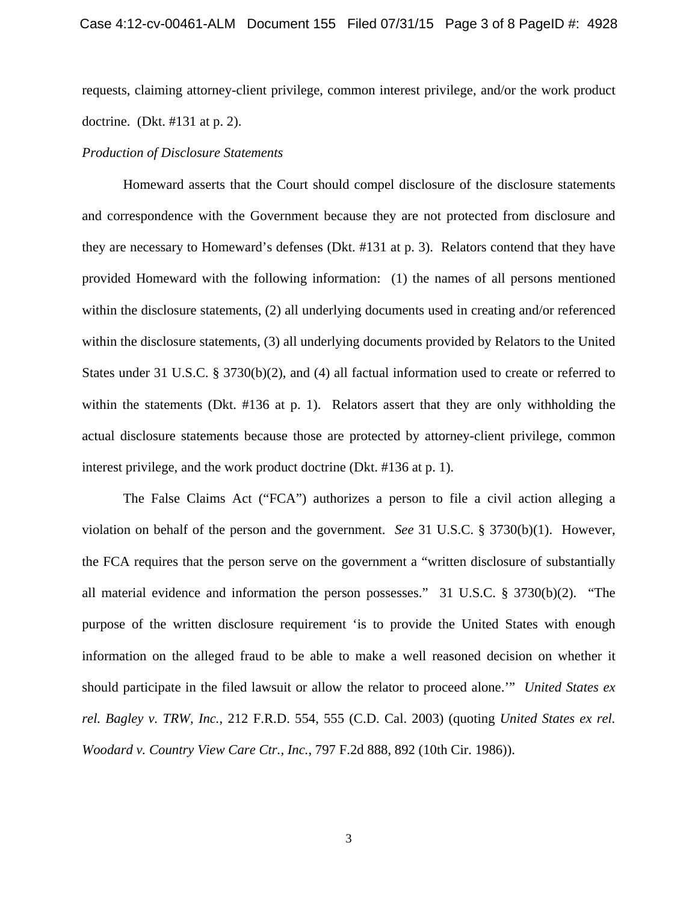requests, claiming attorney-client privilege, common interest privilege, and/or the work product doctrine. (Dkt. #131 at p. 2).

#### *Production of Disclosure Statements*

 Homeward asserts that the Court should compel disclosure of the disclosure statements and correspondence with the Government because they are not protected from disclosure and they are necessary to Homeward's defenses (Dkt. #131 at p. 3). Relators contend that they have provided Homeward with the following information: (1) the names of all persons mentioned within the disclosure statements, (2) all underlying documents used in creating and/or referenced within the disclosure statements, (3) all underlying documents provided by Relators to the United States under 31 U.S.C. § 3730(b)(2), and (4) all factual information used to create or referred to within the statements (Dkt. #136 at p. 1). Relators assert that they are only withholding the actual disclosure statements because those are protected by attorney-client privilege, common interest privilege, and the work product doctrine (Dkt. #136 at p. 1).

 The False Claims Act ("FCA") authorizes a person to file a civil action alleging a violation on behalf of the person and the government. *See* 31 U.S.C. § 3730(b)(1). However, the FCA requires that the person serve on the government a "written disclosure of substantially all material evidence and information the person possesses." 31 U.S.C. § 3730(b)(2). "The purpose of the written disclosure requirement 'is to provide the United States with enough information on the alleged fraud to be able to make a well reasoned decision on whether it should participate in the filed lawsuit or allow the relator to proceed alone.'" *United States ex rel. Bagley v. TRW, Inc.*, 212 F.R.D. 554, 555 (C.D. Cal. 2003) (quoting *United States ex rel. Woodard v. Country View Care Ctr., Inc.*, 797 F.2d 888, 892 (10th Cir. 1986)).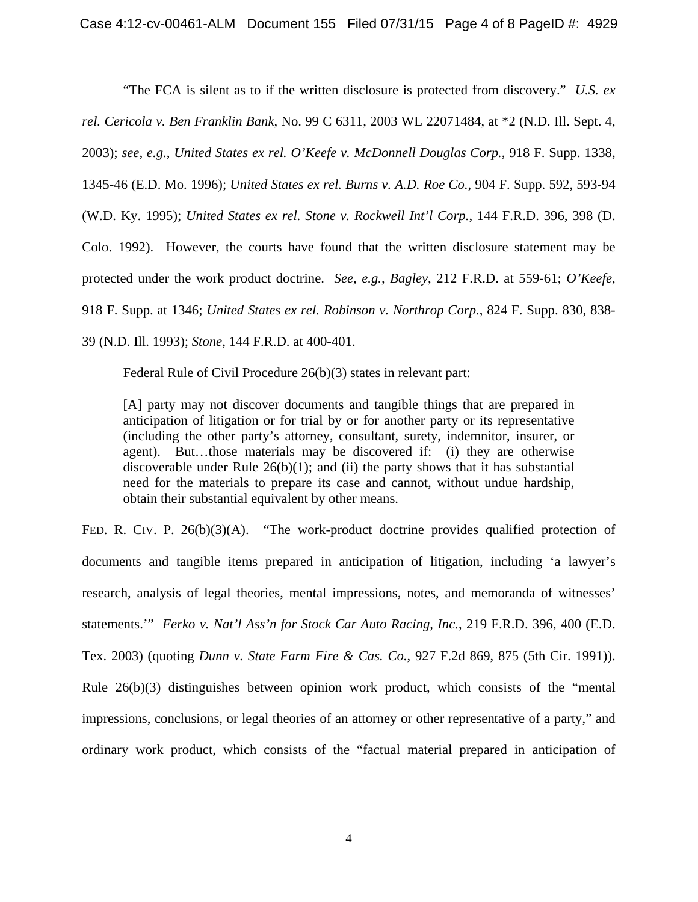"The FCA is silent as to if the written disclosure is protected from discovery." *U.S. ex rel. Cericola v. Ben Franklin Bank*, No. 99 C 6311, 2003 WL 22071484, at \*2 (N.D. Ill. Sept. 4, 2003); *see, e.g.*, *United States ex rel. O'Keefe v. McDonnell Douglas Corp.*, 918 F. Supp. 1338, 1345-46 (E.D. Mo. 1996); *United States ex rel. Burns v. A.D. Roe Co.*, 904 F. Supp. 592, 593-94 (W.D. Ky. 1995); *United States ex rel. Stone v. Rockwell Int'l Corp.*, 144 F.R.D. 396, 398 (D. Colo. 1992). However, the courts have found that the written disclosure statement may be protected under the work product doctrine. *See, e.g., Bagley*, 212 F.R.D. at 559-61; *O'Keefe*, 918 F. Supp. at 1346; *United States ex rel. Robinson v. Northrop Corp.*, 824 F. Supp. 830, 838- 39 (N.D. Ill. 1993); *Stone*, 144 F.R.D. at 400-401.

Federal Rule of Civil Procedure 26(b)(3) states in relevant part:

[A] party may not discover documents and tangible things that are prepared in anticipation of litigation or for trial by or for another party or its representative (including the other party's attorney, consultant, surety, indemnitor, insurer, or agent). But…those materials may be discovered if: (i) they are otherwise discoverable under Rule  $26(b)(1)$ ; and (ii) the party shows that it has substantial need for the materials to prepare its case and cannot, without undue hardship, obtain their substantial equivalent by other means.

FED. R. CIV. P. 26(b)(3)(A). "The work-product doctrine provides qualified protection of documents and tangible items prepared in anticipation of litigation, including 'a lawyer's research, analysis of legal theories, mental impressions, notes, and memoranda of witnesses' statements.'" *Ferko v. Nat'l Ass'n for Stock Car Auto Racing, Inc.*, 219 F.R.D. 396, 400 (E.D. Tex. 2003) (quoting *Dunn v. State Farm Fire & Cas. Co.*, 927 F.2d 869, 875 (5th Cir. 1991)). Rule 26(b)(3) distinguishes between opinion work product, which consists of the "mental impressions, conclusions, or legal theories of an attorney or other representative of a party," and ordinary work product, which consists of the "factual material prepared in anticipation of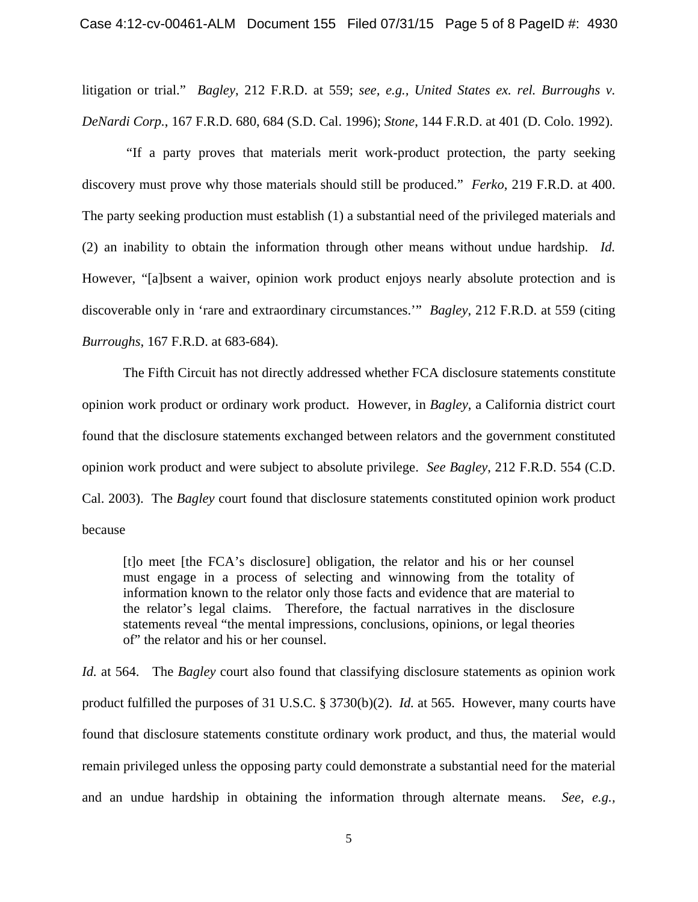litigation or trial." *Bagley*, 212 F.R.D. at 559; *see, e.g., United States ex. rel. Burroughs v. DeNardi Corp.*, 167 F.R.D. 680, 684 (S.D. Cal. 1996); *Stone*, 144 F.R.D. at 401 (D. Colo. 1992).

 "If a party proves that materials merit work-product protection, the party seeking discovery must prove why those materials should still be produced." *Ferko*, 219 F.R.D. at 400. The party seeking production must establish (1) a substantial need of the privileged materials and (2) an inability to obtain the information through other means without undue hardship. *Id.*  However, "[a]bsent a waiver, opinion work product enjoys nearly absolute protection and is discoverable only in 'rare and extraordinary circumstances.'" *Bagley*, 212 F.R.D. at 559 (citing *Burroughs*, 167 F.R.D. at 683-684).

The Fifth Circuit has not directly addressed whether FCA disclosure statements constitute opinion work product or ordinary work product. However, in *Bagley*, a California district court found that the disclosure statements exchanged between relators and the government constituted opinion work product and were subject to absolute privilege. *See Bagley*, 212 F.R.D. 554 (C.D. Cal. 2003). The *Bagley* court found that disclosure statements constituted opinion work product because

[t]o meet [the FCA's disclosure] obligation, the relator and his or her counsel must engage in a process of selecting and winnowing from the totality of information known to the relator only those facts and evidence that are material to the relator's legal claims. Therefore, the factual narratives in the disclosure statements reveal "the mental impressions, conclusions, opinions, or legal theories of" the relator and his or her counsel.

*Id.* at 564. The *Bagley* court also found that classifying disclosure statements as opinion work product fulfilled the purposes of 31 U.S.C. § 3730(b)(2). *Id.* at 565. However, many courts have found that disclosure statements constitute ordinary work product, and thus, the material would remain privileged unless the opposing party could demonstrate a substantial need for the material and an undue hardship in obtaining the information through alternate means. *See, e.g.,*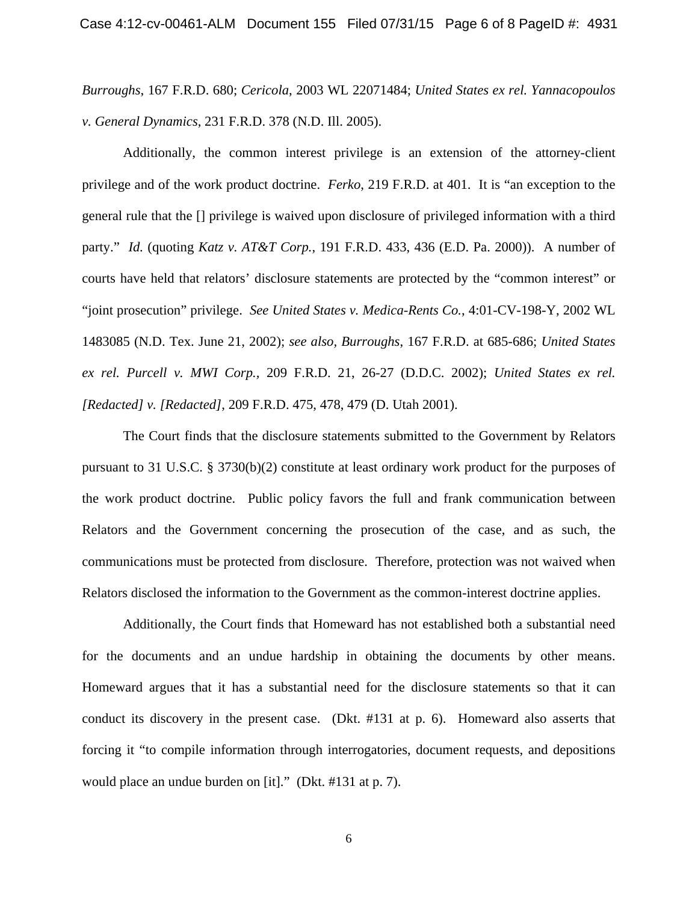*Burroughs*, 167 F.R.D. 680; *Cericola*, 2003 WL 22071484; *United States ex rel. Yannacopoulos v. General Dynamics*, 231 F.R.D. 378 (N.D. Ill. 2005).

 Additionally, the common interest privilege is an extension of the attorney-client privilege and of the work product doctrine. *Ferko*, 219 F.R.D. at 401. It is "an exception to the general rule that the [] privilege is waived upon disclosure of privileged information with a third party." *Id.* (quoting *Katz v. AT&T Corp.*, 191 F.R.D. 433, 436 (E.D. Pa. 2000)). A number of courts have held that relators' disclosure statements are protected by the "common interest" or "joint prosecution" privilege. *See United States v. Medica-Rents Co.*, 4:01-CV-198-Y, 2002 WL 1483085 (N.D. Tex. June 21, 2002); *see also, Burroughs*, 167 F.R.D. at 685-686; *United States ex rel. Purcell v. MWI Corp.,* 209 F.R.D. 21, 26-27 (D.D.C. 2002); *United States ex rel. [Redacted] v. [Redacted]*, 209 F.R.D. 475, 478, 479 (D. Utah 2001).

The Court finds that the disclosure statements submitted to the Government by Relators pursuant to 31 U.S.C. § 3730(b)(2) constitute at least ordinary work product for the purposes of the work product doctrine. Public policy favors the full and frank communication between Relators and the Government concerning the prosecution of the case, and as such, the communications must be protected from disclosure. Therefore, protection was not waived when Relators disclosed the information to the Government as the common-interest doctrine applies.

Additionally, the Court finds that Homeward has not established both a substantial need for the documents and an undue hardship in obtaining the documents by other means. Homeward argues that it has a substantial need for the disclosure statements so that it can conduct its discovery in the present case. (Dkt. #131 at p. 6). Homeward also asserts that forcing it "to compile information through interrogatories, document requests, and depositions would place an undue burden on [it]." (Dkt. #131 at p. 7).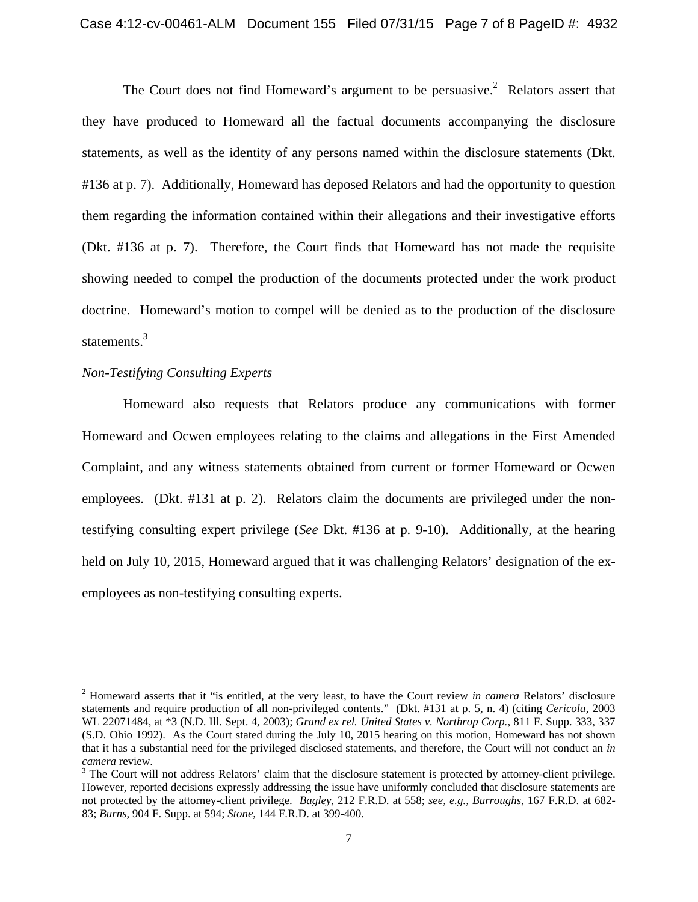The Court does not find Homeward's argument to be persuasive.<sup>2</sup> Relators assert that they have produced to Homeward all the factual documents accompanying the disclosure statements, as well as the identity of any persons named within the disclosure statements (Dkt. #136 at p. 7). Additionally, Homeward has deposed Relators and had the opportunity to question them regarding the information contained within their allegations and their investigative efforts (Dkt. #136 at p. 7). Therefore, the Court finds that Homeward has not made the requisite showing needed to compel the production of the documents protected under the work product doctrine. Homeward's motion to compel will be denied as to the production of the disclosure statements.<sup>3</sup>

## *Non-Testifying Consulting Experts*

 Homeward also requests that Relators produce any communications with former Homeward and Ocwen employees relating to the claims and allegations in the First Amended Complaint, and any witness statements obtained from current or former Homeward or Ocwen employees. (Dkt. #131 at p. 2). Relators claim the documents are privileged under the nontestifying consulting expert privilege (*See* Dkt. #136 at p. 9-10). Additionally, at the hearing held on July 10, 2015, Homeward argued that it was challenging Relators' designation of the exemployees as non-testifying consulting experts.

<sup>2</sup> Homeward asserts that it "is entitled, at the very least, to have the Court review *in camera* Relators' disclosure statements and require production of all non-privileged contents." (Dkt. #131 at p. 5, n. 4) (citing *Cericola*, 2003 WL 22071484, at \*3 (N.D. Ill. Sept. 4, 2003); *Grand ex rel. United States v. Northrop Corp.*, 811 F. Supp. 333, 337 (S.D. Ohio 1992). As the Court stated during the July 10, 2015 hearing on this motion, Homeward has not shown that it has a substantial need for the privileged disclosed statements, and therefore, the Court will not conduct an *in camera* review. <sup>3</sup>

<sup>&</sup>lt;sup>3</sup> The Court will not address Relators' claim that the disclosure statement is protected by attorney-client privilege. However, reported decisions expressly addressing the issue have uniformly concluded that disclosure statements are not protected by the attorney-client privilege. *Bagley*, 212 F.R.D. at 558; *see, e.g., Burroughs*, 167 F.R.D. at 682- 83; *Burns*, 904 F. Supp. at 594; *Stone*, 144 F.R.D. at 399-400.